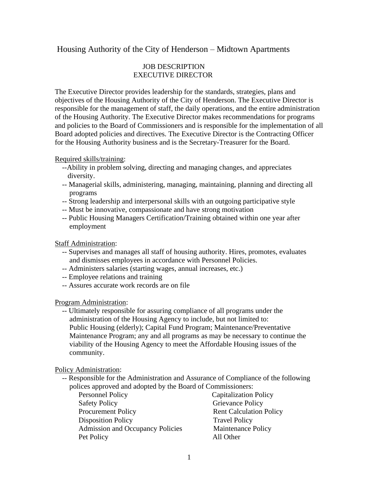## Housing Authority of the City of Henderson – Midtown Apartments

## JOB DESCRIPTION EXECUTIVE DIRECTOR

The Executive Director provides leadership for the standards, strategies, plans and objectives of the Housing Authority of the City of Henderson. The Executive Director is responsible for the management of staff, the daily operations, and the entire administration of the Housing Authority. The Executive Director makes recommendations for programs and policies to the Board of Commissioners and is responsible for the implementation of all Board adopted policies and directives. The Executive Director is the Contracting Officer for the Housing Authority business and is the Secretary-Treasurer for the Board.

Required skills/training:

- --Ability in problem solving, directing and managing changes, and appreciates diversity.
- -- Managerial skills, administering, managing, maintaining, planning and directing all programs
- -- Strong leadership and interpersonal skills with an outgoing participative style
- -- Must be innovative, compassionate and have strong motivation
- -- Public Housing Managers Certification/Training obtained within one year after employment

Staff Administration:

- -- Supervises and manages all staff of housing authority. Hires, promotes, evaluates and dismisses employees in accordance with Personnel Policies.
- -- Administers salaries (starting wages, annual increases, etc.)
- -- Employee relations and training
- -- Assures accurate work records are on file

Program Administration:

 -- Ultimately responsible for assuring compliance of all programs under the administration of the Housing Agency to include, but not limited to: Public Housing (elderly); Capital Fund Program; Maintenance/Preventative Maintenance Program; any and all programs as may be necessary to continue the viability of the Housing Agency to meet the Affordable Housing issues of the community.

Policy Administration:

 -- Responsible for the Administration and Assurance of Compliance of the following polices approved and adopted by the Board of Commissioners:

| Personnel Policy                        | <b>Capitalization Policy</b>   |
|-----------------------------------------|--------------------------------|
| <b>Safety Policy</b>                    | Grievance Policy               |
| <b>Procurement Policy</b>               | <b>Rent Calculation Policy</b> |
| <b>Disposition Policy</b>               | <b>Travel Policy</b>           |
| <b>Admission and Occupancy Policies</b> | Maintenance Policy             |
| Pet Policy                              | All Other                      |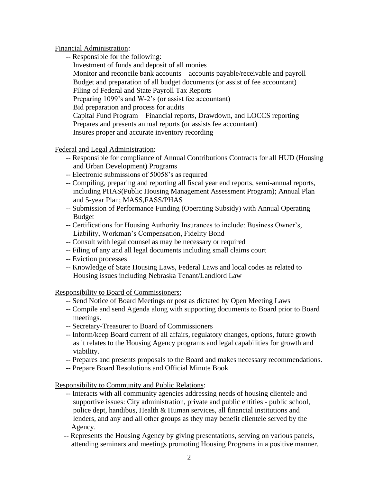Financial Administration:

 -- Responsible for the following: Investment of funds and deposit of all monies Monitor and reconcile bank accounts – accounts payable/receivable and payroll Budget and preparation of all budget documents (or assist of fee accountant) Filing of Federal and State Payroll Tax Reports Preparing 1099's and W-2's (or assist fee accountant) Bid preparation and process for audits Capital Fund Program – Financial reports, Drawdown, and LOCCS reporting Prepares and presents annual reports (or assists fee accountant) Insures proper and accurate inventory recording

Federal and Legal Administration:

- -- Responsible for compliance of Annual Contributions Contracts for all HUD (Housing and Urban Development) Programs
- -- Electronic submissions of 50058's as required
- -- Compiling, preparing and reporting all fiscal year end reports, semi-annual reports, including PHAS(Public Housing Management Assessment Program); Annual Plan and 5-year Plan; MASS,FASS/PHAS
- -- Submission of Performance Funding (Operating Subsidy) with Annual Operating Budget
- -- Certifications for Housing Authority Insurances to include: Business Owner's, Liability, Workman's Compensation, Fidelity Bond
- -- Consult with legal counsel as may be necessary or required
- -- Filing of any and all legal documents including small claims court
- -- Eviction processes
- -- Knowledge of State Housing Laws, Federal Laws and local codes as related to Housing issues including Nebraska Tenant/Landlord Law

Responsibility to Board of Commissioners:

- -- Send Notice of Board Meetings or post as dictated by Open Meeting Laws
- -- Compile and send Agenda along with supporting documents to Board prior to Board meetings.
- -- Secretary-Treasurer to Board of Commissioners
- -- Inform/keep Board current of all affairs, regulatory changes, options, future growth as it relates to the Housing Agency programs and legal capabilities for growth and viability.
- -- Prepares and presents proposals to the Board and makes necessary recommendations.
- -- Prepare Board Resolutions and Official Minute Book

Responsibility to Community and Public Relations:

- -- Interacts with all community agencies addressing needs of housing clientele and supportive issues: City administration, private and public entities - public school, police dept, handibus, Health & Human services, all financial institutions and lenders, and any and all other groups as they may benefit clientele served by the Agency.
- -- Represents the Housing Agency by giving presentations, serving on various panels, attending seminars and meetings promoting Housing Programs in a positive manner.